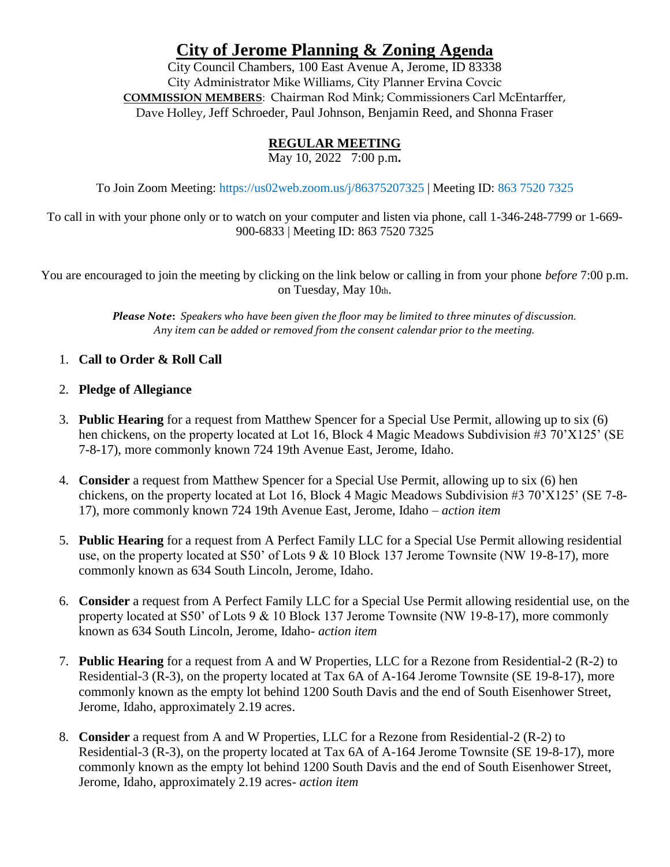# **City of Jerome Planning & Zoning Agenda**

City Council Chambers, 100 East Avenue A, Jerome, ID 83338 City Administrator Mike Williams, City Planner Ervina Covcic **COMMISSION MEMBERS**: Chairman Rod Mink; Commissioners Carl McEntarffer, Dave Holley, Jeff Schroeder, Paul Johnson, Benjamin Reed, and Shonna Fraser

## **REGULAR MEETING**

May 10, 2022 7:00 p.m**.**

To Join Zoom Meeting: https://us02web.zoom.us/j/86375207325 | Meeting ID: 863 7520 7325

To call in with your phone only or to watch on your computer and listen via phone, call 1-346-248-7799 or 1-669- 900-6833 | Meeting ID: 863 7520 7325

You are encouraged to join the meeting by clicking on the link below or calling in from your phone *before* 7:00 p.m. on Tuesday, May 10th.

> *Please Note***:** *Speakers who have been given the floor may be limited to three minutes of discussion. Any item can be added or removed from the consent calendar prior to the meeting.*

- 1. **Call to Order & Roll Call**
- 2. **Pledge of Allegiance**
- 3. **Public Hearing** for a request from Matthew Spencer for a Special Use Permit, allowing up to six (6) hen chickens, on the property located at Lot 16, Block 4 Magic Meadows Subdivision #3 70'X125' (SE 7-8-17), more commonly known 724 19th Avenue East, Jerome, Idaho.
- 4. **Consider** a request from Matthew Spencer for a Special Use Permit, allowing up to six (6) hen chickens, on the property located at Lot 16, Block 4 Magic Meadows Subdivision #3 70'X125' (SE 7-8- 17), more commonly known 724 19th Avenue East, Jerome, Idaho – *action item*
- 5. **Public Hearing** for a request from A Perfect Family LLC for a Special Use Permit allowing residential use, on the property located at S50' of Lots 9 & 10 Block 137 Jerome Townsite (NW 19-8-17), more commonly known as 634 South Lincoln, Jerome, Idaho.
- 6. **Consider** a request from A Perfect Family LLC for a Special Use Permit allowing residential use, on the property located at S50' of Lots 9 & 10 Block 137 Jerome Townsite (NW 19-8-17), more commonly known as 634 South Lincoln, Jerome, Idaho- *action item*
- 7. **Public Hearing** for a request from A and W Properties, LLC for a Rezone from Residential-2 (R-2) to Residential-3 (R-3), on the property located at Tax 6A of A-164 Jerome Townsite (SE 19-8-17), more commonly known as the empty lot behind 1200 South Davis and the end of South Eisenhower Street, Jerome, Idaho, approximately 2.19 acres.
- 8. **Consider** a request from A and W Properties, LLC for a Rezone from Residential-2 (R-2) to Residential-3 (R-3), on the property located at Tax 6A of A-164 Jerome Townsite (SE 19-8-17), more commonly known as the empty lot behind 1200 South Davis and the end of South Eisenhower Street, Jerome, Idaho, approximately 2.19 acres- *action item*